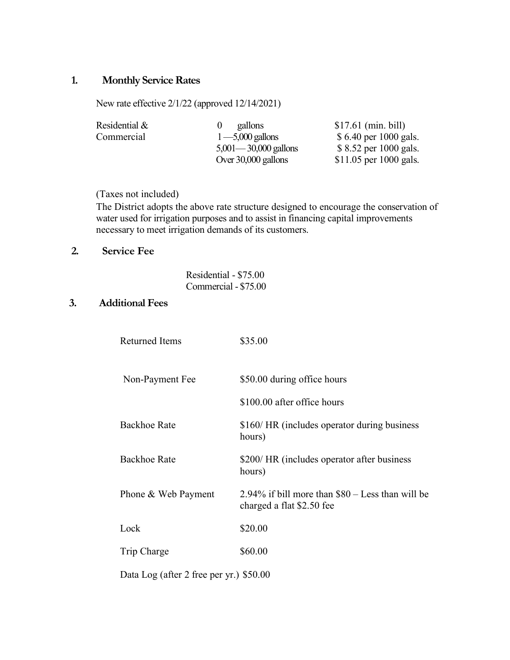## **1. Monthly Service Rates**

New rate effective 2/1/22 (approved 12/14/2021)

| Residential $\&$ | gallons                  | $$17.61$ (min. bill)   |
|------------------|--------------------------|------------------------|
| Commercial       | $1 - 5,000$ gallons      | \$6.40 per 1000 gals.  |
|                  | $5,001 - 30,000$ gallons | \$ 8.52 per 1000 gals. |
|                  | Over 30,000 gallons      | \$11.05 per 1000 gals. |

(Taxes not included)

The District adopts the above rate structure designed to encourage the conservation of water used for irrigation purposes and to assist in financing capital improvements necessary to meet irrigation demands of its customers.

# **2. Service Fee**

| Residential - \$75.00 |
|-----------------------|
| Commercial - \$75.00  |

### **3. Additional Fees**

| <b>Returned Items</b>                   | \$35.00                                                                           |
|-----------------------------------------|-----------------------------------------------------------------------------------|
| Non-Payment Fee                         | \$50.00 during office hours                                                       |
|                                         | \$100.00 after office hours                                                       |
| <b>Backhoe Rate</b>                     | \$160/HR (includes operator during business<br>hours)                             |
| <b>Backhoe Rate</b>                     | \$200/ HR (includes operator after business<br>hours)                             |
| Phone & Web Payment                     | $2.94\%$ if bill more than $$80 - Less$ than will be<br>charged a flat \$2.50 fee |
| Lock                                    | \$20.00                                                                           |
| Trip Charge                             | \$60.00                                                                           |
| Data Log (after 2 free per yr.) \$50.00 |                                                                                   |